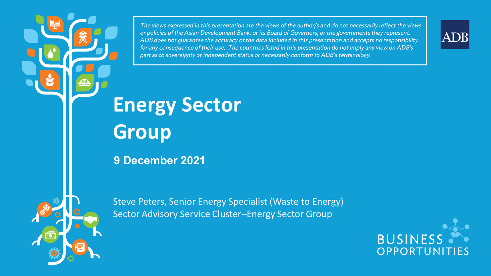The views expressed in this presentation are the views of the author/s and do not necessarily reflect the views or policies of the Asian Development Bank, or its Board of Governors, or the governments they represent. ADB does not guarantee the accuracy of the data included in this presentation and accepts no responsibility for any consequence of their use. The countries listed in this presentation do not imply any view on ADB's part as to sovereignty or independent status or necessarily conform to ADB's terminology.

**Energy Sector Group**

**9 December 2021**

Steve Peters, Senior Energy Specialist (Waste to Energy) Sector Advisory Service Cluster–Energy Sector Group



ADB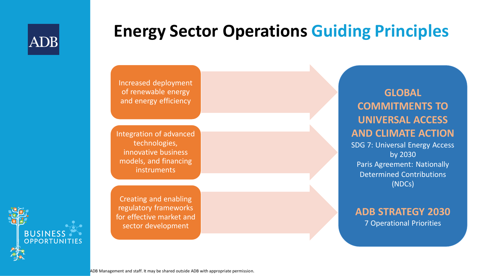

### **Energy Sector Operations Guiding Principles**

Increased deployment of renewable energy and energy efficiency

Integration of advanced technologies, innovative business models, and financing **instruments** 

Creating and enabling regulatory frameworks for effective market and sector development

#### **GLOBAL COMMITMENTS TO UNIVERSAL ACCESS AND CLIMATE ACTION**

SDG 7: Universal Energy Access by 2030 Paris Agreement: Nationally Determined Contributions (NDCs)

#### **ADB STRATEGY 2030**  7 Operational Priorities

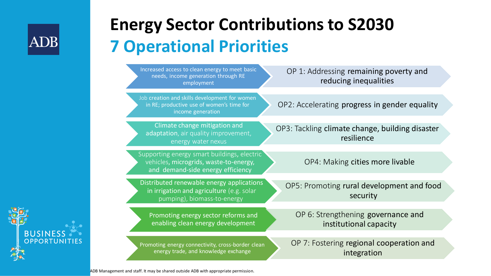

# **Energy Sector Contributions to S2030 7 Operational Priorities**

| Increased access to clean energy to meet basic<br>needs, income generation through RE<br>employment                        | OP 1: Addressing remaining poverty and<br>reducing inequalities |
|----------------------------------------------------------------------------------------------------------------------------|-----------------------------------------------------------------|
| Job creation and skills development for women<br>in RE; productive use of women's time for<br>income generation            | OP2: Accelerating progress in gender equality                   |
| Climate change mitigation and<br>adaptation, air quality improvement,<br>energy water nexus                                | OP3: Tackling climate change, building disaster<br>resilience   |
| Supporting energy smart buildings, electric<br>vehicles, microgrids, waste-to-energy,<br>and demand-side energy efficiency | OP4: Making cities more livable                                 |
| Distributed renewable energy applications<br>in irrigation and agriculture (e.g. solar<br>pumping), biomass-to-energy      | OP5: Promoting rural development and food<br>security           |
| Promoting energy sector reforms and<br>enabling clean energy development                                                   | OP 6: Strengthening governance and<br>institutional capacity    |
| Promoting energy connectivity, cross-border clean<br>energy trade, and knowledge exchange                                  | OP 7: Fostering regional cooperation and<br>integration         |

**BUSINES** OPPORTUNITIES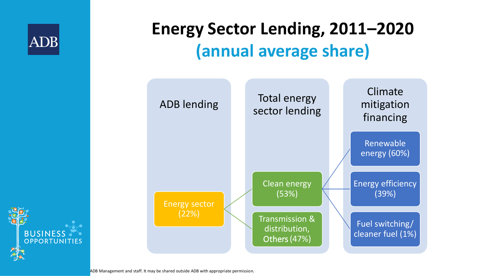

# **Energy Sector Lending, 2011–2020 (annual average share)**



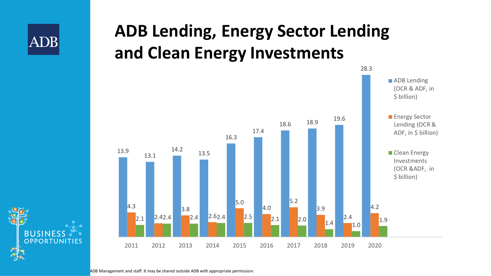

# **ADB Lending, Energy Sector Lending and Clean Energy Investments**



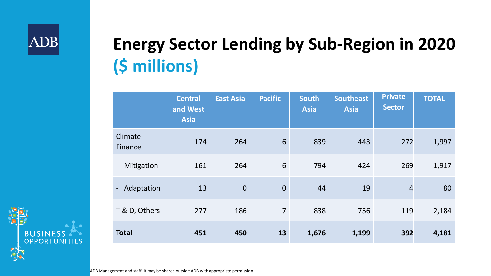# **Energy Sector Lending by Sub-Region in 2020 (\$ millions)**

|                                        | <b>Central</b><br>and West<br><b>Asia</b> | <b>East Asia</b> | <b>Pacific</b>  | <b>South</b><br><b>Asia</b> | <b>Southeast</b><br><b>Asia</b> | <b>Private</b><br><b>Sector</b> | <b>TOTAL</b> |
|----------------------------------------|-------------------------------------------|------------------|-----------------|-----------------------------|---------------------------------|---------------------------------|--------------|
| Climate<br>Finance                     | 174                                       | 264              | $6\phantom{1}6$ | 839                         | 443                             | 272                             | 1,997        |
| Mitigation<br>$\overline{\phantom{a}}$ | 161                                       | 264              | 6               | 794                         | 424                             | 269                             | 1,917        |
| - Adaptation                           | 13                                        | $\overline{0}$   | $\overline{0}$  | 44                          | 19                              | $\overline{4}$                  | 80           |
| T & D, Others                          | 277                                       | 186              | $\overline{7}$  | 838                         | 756                             | 119                             | 2,184        |
| <b>Total</b>                           | 451                                       | 450              | 13              | 1,676                       | 1,199                           | 392                             | 4,181        |

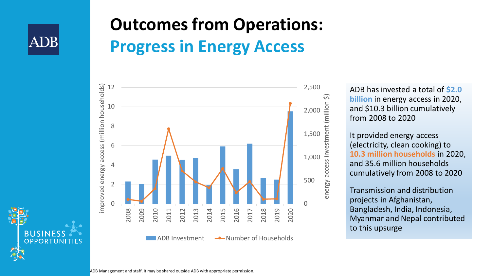

# **Outcomes from Operations: Progress in Energy Access**



ADB has invested a total of **\$2.0 billion** in energy access in 2020, and \$10.3 billion cumulatively from 2008 to 2020

It provided energy access (electricity, clean cooking) to **10.3 million households** in 2020, and 35.6 million households cumulatively from 2008 to 2020

Transmission and distribution projects in Afghanistan, Bangladesh, India, Indonesia, Myanmar and Nepal contributed to this upsurge

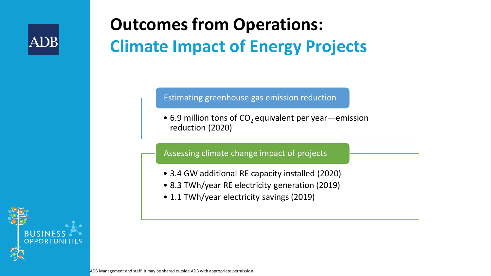

# **Outcomes from Operations: Climate Impact of Energy Projects**

Estimating greenhouse gas emission reduction

• 6.9 million tons of  $CO<sub>2</sub>$  equivalent per year—emission reduction (2020)

#### Assessing climate change impact of projects

- 3.4 GW additional RE capacity installed (2020)
- 8.3 TWh/year RE electricity generation (2019)
- 1.1 TWh/year electricity savings (2019)

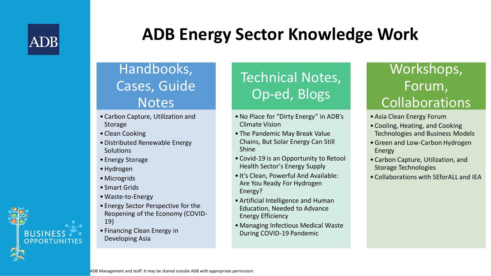

# **ADB Energy Sector Knowledge Work**

### Handbooks, Cases, Guide **Notes**

- Carbon Capture, Utilization and Storage
- Clean Cooking
- •Distributed Renewable Energy **Solutions**
- Energy Storage
- •Hydrogen
- Microgrids
- Smart Grids
- •Waste-to-Energy
- Energy Sector Perspective for the Reopening of the Economy (COVID-19)
- Financing Clean Energy in Developing Asia

## Technical Notes, Op-ed, Blogs

- •No Place for "Dirty Energy" in ADB's Climate Vision
- The Pandemic May Break Value Chains, But Solar Energy Can Still Shine
- Covid-19 is an Opportunity to Retool Health Sector's Energy Supply
- It's Clean, Powerful And Available: Are You Ready For Hydrogen Energy?
- •Artificial Intelligence and Human Education, Needed to Advance Energy Efficiency
- •Managing Infectious Medical Waste During COVID-19 Pandemic

### Workshops, Forum, Collaborations

- •Asia Clean Energy Forum
- Cooling, Heating, and Cooking Technologies and Business Models
- •Green and Low-Carbon Hydrogen Energy
- Carbon Capture, Utilization, and Storage Technologies
- Collaborations with SEforALL and IEA

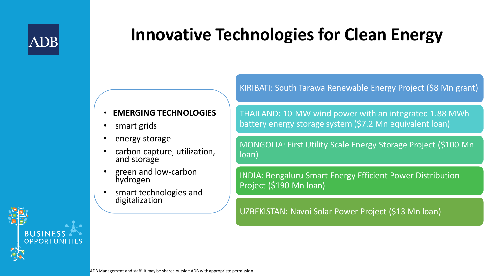

# **Innovative Technologies for Clean Energy**

• **EMERGING TECHNOLOGIES**

- smart grids
- energy storage
- carbon capture, utilization, and storage
- green and low-carbon hydrogen
- smart technologies and digitalization

THAILAND: 10-MW wind power with an integrated 1.88 MWh battery energy storage system (\$7.2 Mn equivalent loan)

KIRIBATI: South Tarawa Renewable Energy Project (\$8 Mn grant)

MONGOLIA: First Utility Scale Energy Storage Project (\$100 Mn loan)

INDIA: Bengaluru Smart Energy Efficient Power Distribution Project (\$190 Mn loan)

UZBEKISTAN: Navoi Solar Power Project (\$13 Mn loan)

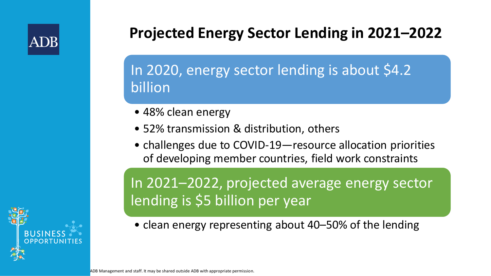

### **Projected Energy Sector Lending in 2021–2022**

In 2020, energy sector lending is about \$4.2 billion

- 48% clean energy
- 52% transmission & distribution, others
- challenges due to COVID-19—resource allocation priorities of developing member countries, field work constraints

In 2021–2022, projected average energy sector lending is \$5 billion per year

• clean energy representing about 40–50% of the lending

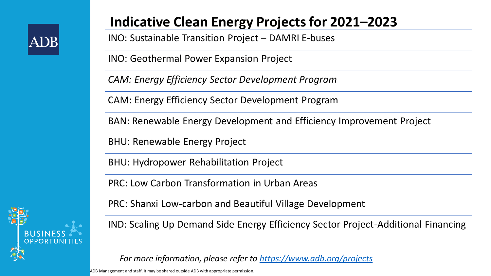

### **Indicative Clean Energy Projects for 2021–2023**

INO: Sustainable Transition Project – DAMRI E-buses

INO: Geothermal Power Expansion Project

*CAM: Energy Efficiency Sector Development Program*

CAM: Energy Efficiency Sector Development Program

BAN: Renewable Energy Development and Efficiency Improvement Project

BHU: Renewable Energy Project

BHU: Hydropower Rehabilitation Project

PRC: Low Carbon Transformation in Urban Areas

PRC: Shanxi Low-carbon and Beautiful Village Development

IND: Scaling Up Demand Side Energy Efficiency Sector Project-Additional Financing

*For more information, please refer to<https://www.adb.org/projects>*

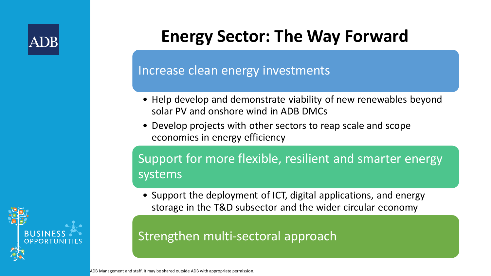

# **Energy Sector: The Way Forward**

#### Increase clean energy investments

- Help develop and demonstrate viability of new renewables beyond solar PV and onshore wind in ADB DMCs
- Develop projects with other sectors to reap scale and scope economies in energy efficiency

### Support for more flexible, resilient and smarter energy systems

• Support the deployment of ICT, digital applications, and energy storage in the T&D subsector and the wider circular economy

#### Strengthen multi-sectoral approach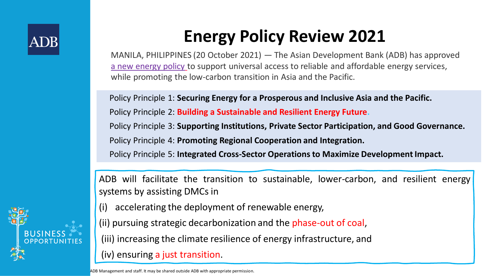

# **Energy Policy Review 2021**

MANILA, PHILIPPINES (20 October 2021) — The Asian Development Bank (ADB) has approved [a new energy policy](https://www.adb.org/sites/default/files/institutional-document/737086/energy-policy-r-paper.pdf) to support universal access to reliable and affordable energy services, while promoting the low-carbon transition in Asia and the Pacific.

Policy Principle 1: **Securing Energy for a Prosperous and Inclusive Asia and the Pacific.** Policy Principle 2: **Building a Sustainable and Resilient Energy Future.** Policy Principle 3: **Supporting Institutions, Private Sector Participation, and Good Governance.** Policy Principle 4: **Promoting Regional Cooperation and Integration.** Policy Principle 5: **Integrated Cross-Sector Operations to Maximize Development Impact.**

ADB will facilitate the transition to sustainable, lower-carbon, and resilient energy systems by assisting DMCs in

(i) accelerating the deployment of renewable energy,

(ii) pursuing strategic decarbonization and the phase-out of coal,

(iii) increasing the climate resilience of energy infrastructure, and

#### (iv) ensuring a just transition.

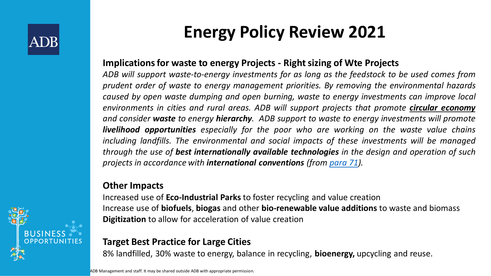

# **Energy Policy Review 2021**

#### **Implications for waste to energy Projects - Right sizing of Wte Projects**

*ADB will support waste-to-energy investments for as long as the feedstock to be used comes from prudent order of waste to energy management priorities. By removing the environmental hazards caused by open waste dumping and open burning, waste to energy investments can improve local environments in cities and rural areas. ADB will support projects that promote circular economy and consider waste to energy hierarchy. ADB support to waste to energy investments will promote livelihood opportunities especially for the poor who are working on the waste value chains including landfills. The environmental and social impacts of these investments will be managed through the use of best internationally available technologies in the design and operation of such projects in accordance with international conventions (from [para](https://www.adb.org/sites/default/files/institutional-document/737086/energy-policy-r-paper.pdf) 71).*

#### **Other Impacts**

Increased use of **Eco-Industrial Parks** to foster recycling and value creation Increase use of **biofuels**, **biogas** and other **bio-renewable value additions** to waste and biomass **Digitization** to allow for acceleration of value creation

#### **Target Best Practice for Large Cities**

8% landfilled, 30% waste to energy, balance in recycling, **bioenergy,** upcycling and reuse.